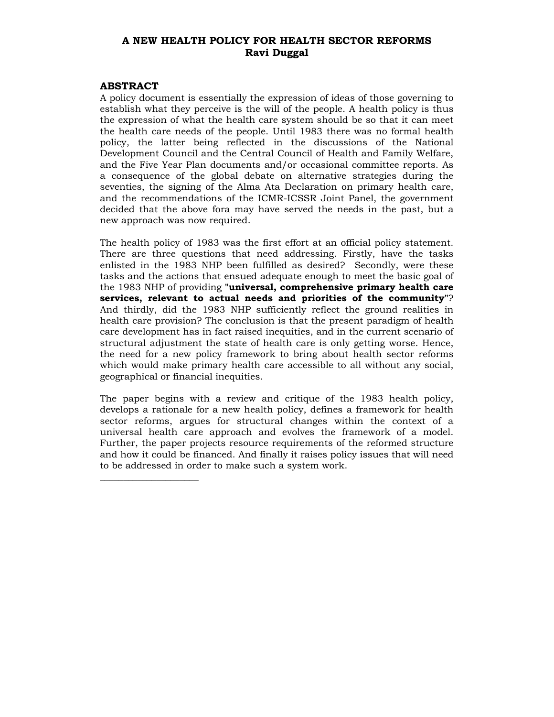# **A NEW HEALTH POLICY FOR HEALTH SECTOR REFORMS Ravi Duggal**

#### **ABSTRACT**

 $\frac{1}{2}$  ,  $\frac{1}{2}$  ,  $\frac{1}{2}$  ,  $\frac{1}{2}$  ,  $\frac{1}{2}$  ,  $\frac{1}{2}$  ,  $\frac{1}{2}$  ,  $\frac{1}{2}$  ,  $\frac{1}{2}$  ,  $\frac{1}{2}$  ,  $\frac{1}{2}$  ,  $\frac{1}{2}$  ,  $\frac{1}{2}$  ,  $\frac{1}{2}$  ,  $\frac{1}{2}$  ,  $\frac{1}{2}$  ,  $\frac{1}{2}$  ,  $\frac{1}{2}$  ,  $\frac{1$ 

A policy document is essentially the expression of ideas of those governing to establish what they perceive is the will of the people. A health policy is thus the expression of what the health care system should be so that it can meet the health care needs of the people. Until 1983 there was no formal health policy, the latter being reflected in the discussions of the National Development Council and the Central Council of Health and Family Welfare, and the Five Year Plan documents and/or occasional committee reports. As a consequence of the global debate on alternative strategies during the seventies, the signing of the Alma Ata Declaration on primary health care, and the recommendations of the ICMR-ICSSR Joint Panel, the government decided that the above fora may have served the needs in the past, but a new approach was now required.

The health policy of 1983 was the first effort at an official policy statement. There are three questions that need addressing. Firstly, have the tasks enlisted in the 1983 NHP been fulfilled as desired? Secondly, were these tasks and the actions that ensued adequate enough to meet the basic goal of the 1983 NHP of providing **"universal, comprehensive primary health care services, relevant to actual needs and priorities of the community"**? And thirdly, did the 1983 NHP sufficiently reflect the ground realities in health care provision? The conclusion is that the present paradigm of health care development has in fact raised inequities, and in the current scenario of structural adjustment the state of health care is only getting worse. Hence, the need for a new policy framework to bring about health sector reforms which would make primary health care accessible to all without any social, geographical or financial inequities.

The paper begins with a review and critique of the 1983 health policy, develops a rationale for a new health policy, defines a framework for health sector reforms, argues for structural changes within the context of a universal health care approach and evolves the framework of a model. Further, the paper projects resource requirements of the reformed structure and how it could be financed. And finally it raises policy issues that will need to be addressed in order to make such a system work.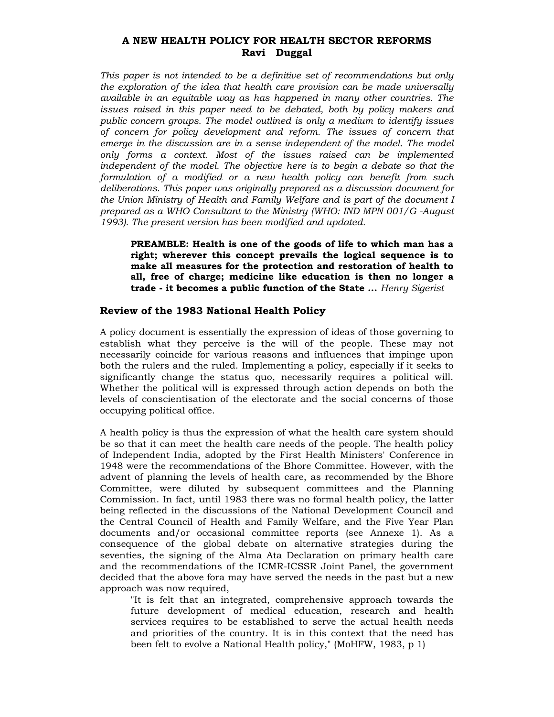# **A NEW HEALTH POLICY FOR HEALTH SECTOR REFORMS Ravi Duggal**

*This paper is not intended to be a definitive set of recommendations but only the exploration of the idea that health care provision can be made universally available in an equitable way as has happened in many other countries. The issues raised in this paper need to be debated, both by policy makers and public concern groups. The model outlined is only a medium to identify issues of concern for policy development and reform. The issues of concern that emerge in the discussion are in a sense independent of the model. The model only forms a context. Most of the issues raised can be implemented independent of the model. The objective here is to begin a debate so that the formulation of a modified or a new health policy can benefit from such deliberations. This paper was originally prepared as a discussion document for the Union Ministry of Health and Family Welfare and is part of the document I prepared as a WHO Consultant to the Ministry (WHO: IND MPN 001/G -August 1993). The present version has been modified and updated.* 

**PREAMBLE: Health is one of the goods of life to which man has a right; wherever this concept prevails the logical sequence is to make all measures for the protection and restoration of health to all, free of charge; medicine like education is then no longer a trade - it becomes a public function of the State ...** *Henry Sigerist*

#### **Review of the 1983 National Health Policy**

A policy document is essentially the expression of ideas of those governing to establish what they perceive is the will of the people. These may not necessarily coincide for various reasons and influences that impinge upon both the rulers and the ruled. Implementing a policy, especially if it seeks to significantly change the status quo, necessarily requires a political will. Whether the political will is expressed through action depends on both the levels of conscientisation of the electorate and the social concerns of those occupying political office.

A health policy is thus the expression of what the health care system should be so that it can meet the health care needs of the people. The health policy of Independent India, adopted by the First Health Ministers' Conference in 1948 were the recommendations of the Bhore Committee. However, with the advent of planning the levels of health care, as recommended by the Bhore Committee, were diluted by subsequent committees and the Planning Commission. In fact, until 1983 there was no formal health policy, the latter being reflected in the discussions of the National Development Council and the Central Council of Health and Family Welfare, and the Five Year Plan documents and/or occasional committee reports (see Annexe 1). As a consequence of the global debate on alternative strategies during the seventies, the signing of the Alma Ata Declaration on primary health care and the recommendations of the ICMR-ICSSR Joint Panel, the government decided that the above fora may have served the needs in the past but a new approach was now required,

"It is felt that an integrated, comprehensive approach towards the future development of medical education, research and health services requires to be established to serve the actual health needs and priorities of the country. It is in this context that the need has been felt to evolve a National Health policy," (MoHFW, 1983, p 1)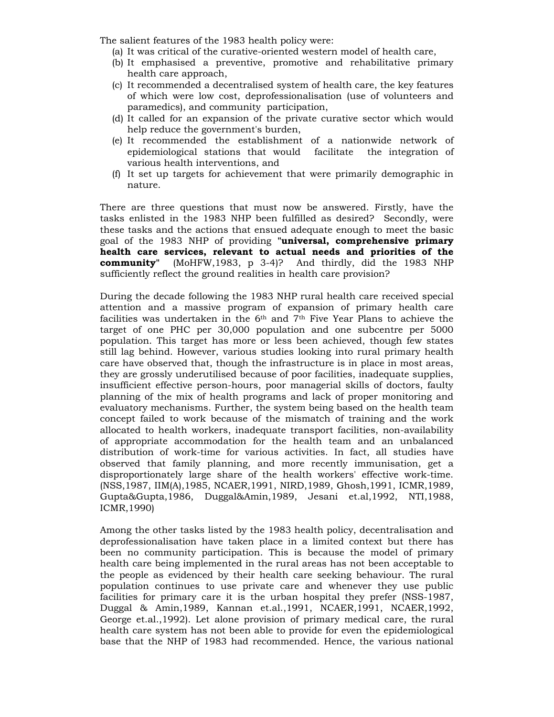The salient features of the 1983 health policy were:

- (a) It was critical of the curative-oriented western model of health care,
- (b) It emphasised a preventive, promotive and rehabilitative primary health care approach,
- (c) It recommended a decentralised system of health care, the key features of which were low cost, deprofessionalisation (use of volunteers and paramedics), and community participation,
- (d) It called for an expansion of the private curative sector which would help reduce the government's burden,
- (e) It recommended the establishment of a nationwide network of epidemiological stations that would facilitate the integration of various health interventions, and
- (f) It set up targets for achievement that were primarily demographic in nature.

There are three questions that must now be answered. Firstly, have the tasks enlisted in the 1983 NHP been fulfilled as desired? Secondly, were these tasks and the actions that ensued adequate enough to meet the basic goal of the 1983 NHP of providing **"universal, comprehensive primary health care services, relevant to actual needs and priorities of the community"** (MoHFW,1983, p 3-4)? And thirdly, did the 1983 NHP sufficiently reflect the ground realities in health care provision?

During the decade following the 1983 NHP rural health care received special attention and a massive program of expansion of primary health care facilities was undertaken in the  $6<sup>th</sup>$  and  $7<sup>th</sup>$  Five Year Plans to achieve the target of one PHC per 30,000 population and one subcentre per 5000 population. This target has more or less been achieved, though few states still lag behind. However, various studies looking into rural primary health care have observed that, though the infrastructure is in place in most areas, they are grossly underutilised because of poor facilities, inadequate supplies, insufficient effective person-hours, poor managerial skills of doctors, faulty planning of the mix of health programs and lack of proper monitoring and evaluatory mechanisms. Further, the system being based on the health team concept failed to work because of the mismatch of training and the work allocated to health workers, inadequate transport facilities, non-availability of appropriate accommodation for the health team and an unbalanced distribution of work-time for various activities. In fact, all studies have observed that family planning, and more recently immunisation, get a disproportionately large share of the health workers' effective work-time. (NSS,1987, IIM(A),1985, NCAER,1991, NIRD,1989, Ghosh,1991, ICMR,1989, Gupta&Gupta,1986, Duggal&Amin,1989, Jesani et.al,1992, NTI,1988, ICMR,1990)

Among the other tasks listed by the 1983 health policy, decentralisation and deprofessionalisation have taken place in a limited context but there has been no community participation. This is because the model of primary health care being implemented in the rural areas has not been acceptable to the people as evidenced by their health care seeking behaviour. The rural population continues to use private care and whenever they use public facilities for primary care it is the urban hospital they prefer (NSS-1987, Duggal & Amin,1989, Kannan et.al.,1991, NCAER,1991, NCAER,1992, George et.al.,1992). Let alone provision of primary medical care, the rural health care system has not been able to provide for even the epidemiological base that the NHP of 1983 had recommended. Hence, the various national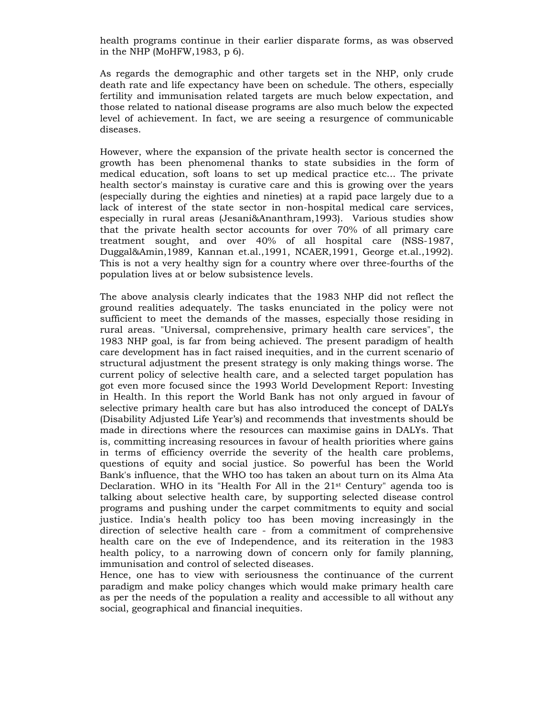health programs continue in their earlier disparate forms, as was observed in the NHP (MoHFW,1983, p 6).

As regards the demographic and other targets set in the NHP, only crude death rate and life expectancy have been on schedule. The others, especially fertility and immunisation related targets are much below expectation, and those related to national disease programs are also much below the expected level of achievement. In fact, we are seeing a resurgence of communicable diseases.

However, where the expansion of the private health sector is concerned the growth has been phenomenal thanks to state subsidies in the form of medical education, soft loans to set up medical practice etc... The private health sector's mainstay is curative care and this is growing over the years (especially during the eighties and nineties) at a rapid pace largely due to a lack of interest of the state sector in non-hospital medical care services, especially in rural areas (Jesani&Ananthram,1993). Various studies show that the private health sector accounts for over 70% of all primary care treatment sought, and over 40% of all hospital care (NSS-1987, Duggal&Amin,1989, Kannan et.al.,1991, NCAER,1991, George et.al.,1992). This is not a very healthy sign for a country where over three-fourths of the population lives at or below subsistence levels.

The above analysis clearly indicates that the 1983 NHP did not reflect the ground realities adequately. The tasks enunciated in the policy were not sufficient to meet the demands of the masses, especially those residing in rural areas. "Universal, comprehensive, primary health care services", the 1983 NHP goal, is far from being achieved. The present paradigm of health care development has in fact raised inequities, and in the current scenario of structural adjustment the present strategy is only making things worse. The current policy of selective health care, and a selected target population has got even more focused since the 1993 World Development Report: Investing in Health. In this report the World Bank has not only argued in favour of selective primary health care but has also introduced the concept of DALYs (Disability Adjusted Life Year's) and recommends that investments should be made in directions where the resources can maximise gains in DALYs. That is, committing increasing resources in favour of health priorities where gains in terms of efficiency override the severity of the health care problems, questions of equity and social justice. So powerful has been the World Bank's influence, that the WHO too has taken an about turn on its Alma Ata Declaration. WHO in its "Health For All in the  $21<sup>st</sup>$  Century" agenda too is talking about selective health care, by supporting selected disease control programs and pushing under the carpet commitments to equity and social justice. India's health policy too has been moving increasingly in the direction of selective health care - from a commitment of comprehensive health care on the eve of Independence, and its reiteration in the 1983 health policy, to a narrowing down of concern only for family planning, immunisation and control of selected diseases.

Hence, one has to view with seriousness the continuance of the current paradigm and make policy changes which would make primary health care as per the needs of the population a reality and accessible to all without any social, geographical and financial inequities.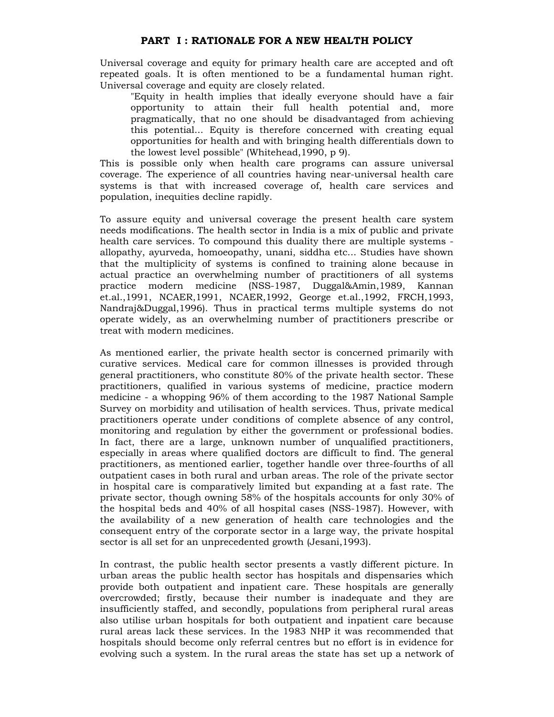Universal coverage and equity for primary health care are accepted and oft repeated goals. It is often mentioned to be a fundamental human right. Universal coverage and equity are closely related.

"Equity in health implies that ideally everyone should have a fair opportunity to attain their full health potential and, more pragmatically, that no one should be disadvantaged from achieving this potential... Equity is therefore concerned with creating equal opportunities for health and with bringing health differentials down to the lowest level possible" (Whitehead,1990, p 9).

This is possible only when health care programs can assure universal coverage. The experience of all countries having near-universal health care systems is that with increased coverage of, health care services and population, inequities decline rapidly.

To assure equity and universal coverage the present health care system needs modifications. The health sector in India is a mix of public and private health care services. To compound this duality there are multiple systems allopathy, ayurveda, homoeopathy, unani, siddha etc... Studies have shown that the multiplicity of systems is confined to training alone because in actual practice an overwhelming number of practitioners of all systems practice modern medicine (NSS-1987, Duggal&Amin,1989, Kannan et.al.,1991, NCAER,1991, NCAER,1992, George et.al.,1992, FRCH,1993, Nandraj&Duggal,1996). Thus in practical terms multiple systems do not operate widely, as an overwhelming number of practitioners prescribe or treat with modern medicines.

As mentioned earlier, the private health sector is concerned primarily with curative services. Medical care for common illnesses is provided through general practitioners, who constitute 80% of the private health sector. These practitioners, qualified in various systems of medicine, practice modern medicine - a whopping 96% of them according to the 1987 National Sample Survey on morbidity and utilisation of health services. Thus, private medical practitioners operate under conditions of complete absence of any control, monitoring and regulation by either the government or professional bodies. In fact, there are a large, unknown number of unqualified practitioners, especially in areas where qualified doctors are difficult to find. The general practitioners, as mentioned earlier, together handle over three-fourths of all outpatient cases in both rural and urban areas. The role of the private sector in hospital care is comparatively limited but expanding at a fast rate. The private sector, though owning 58% of the hospitals accounts for only 30% of the hospital beds and 40% of all hospital cases (NSS-1987). However, with the availability of a new generation of health care technologies and the consequent entry of the corporate sector in a large way, the private hospital sector is all set for an unprecedented growth (Jesani,1993).

In contrast, the public health sector presents a vastly different picture. In urban areas the public health sector has hospitals and dispensaries which provide both outpatient and inpatient care. These hospitals are generally overcrowded; firstly, because their number is inadequate and they are insufficiently staffed, and secondly, populations from peripheral rural areas also utilise urban hospitals for both outpatient and inpatient care because rural areas lack these services. In the 1983 NHP it was recommended that hospitals should become only referral centres but no effort is in evidence for evolving such a system. In the rural areas the state has set up a network of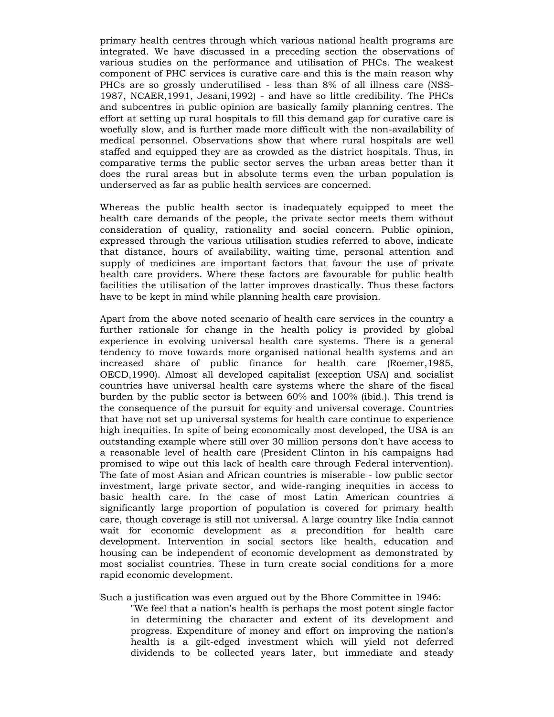primary health centres through which various national health programs are integrated. We have discussed in a preceding section the observations of various studies on the performance and utilisation of PHCs. The weakest component of PHC services is curative care and this is the main reason why PHCs are so grossly underutilised - less than 8% of all illness care (NSS-1987, NCAER,1991, Jesani,1992) - and have so little credibility. The PHCs and subcentres in public opinion are basically family planning centres. The effort at setting up rural hospitals to fill this demand gap for curative care is woefully slow, and is further made more difficult with the non-availability of medical personnel. Observations show that where rural hospitals are well staffed and equipped they are as crowded as the district hospitals. Thus, in comparative terms the public sector serves the urban areas better than it does the rural areas but in absolute terms even the urban population is underserved as far as public health services are concerned.

Whereas the public health sector is inadequately equipped to meet the health care demands of the people, the private sector meets them without consideration of quality, rationality and social concern. Public opinion, expressed through the various utilisation studies referred to above, indicate that distance, hours of availability, waiting time, personal attention and supply of medicines are important factors that favour the use of private health care providers. Where these factors are favourable for public health facilities the utilisation of the latter improves drastically. Thus these factors have to be kept in mind while planning health care provision.

Apart from the above noted scenario of health care services in the country a further rationale for change in the health policy is provided by global experience in evolving universal health care systems. There is a general tendency to move towards more organised national health systems and an increased share of public finance for health care (Roemer,1985, OECD,1990). Almost all developed capitalist (exception USA) and socialist countries have universal health care systems where the share of the fiscal burden by the public sector is between 60% and 100% (ibid.). This trend is the consequence of the pursuit for equity and universal coverage. Countries that have not set up universal systems for health care continue to experience high inequities. In spite of being economically most developed, the USA is an outstanding example where still over 30 million persons don't have access to a reasonable level of health care (President Clinton in his campaigns had promised to wipe out this lack of health care through Federal intervention). The fate of most Asian and African countries is miserable - low public sector investment, large private sector, and wide-ranging inequities in access to basic health care. In the case of most Latin American countries a significantly large proportion of population is covered for primary health care, though coverage is still not universal. A large country like India cannot wait for economic development as a precondition for health care development. Intervention in social sectors like health, education and housing can be independent of economic development as demonstrated by most socialist countries. These in turn create social conditions for a more rapid economic development.

Such a justification was even argued out by the Bhore Committee in 1946:

"We feel that a nation's health is perhaps the most potent single factor in determining the character and extent of its development and progress. Expenditure of money and effort on improving the nation's health is a gilt-edged investment which will yield not deferred dividends to be collected years later, but immediate and steady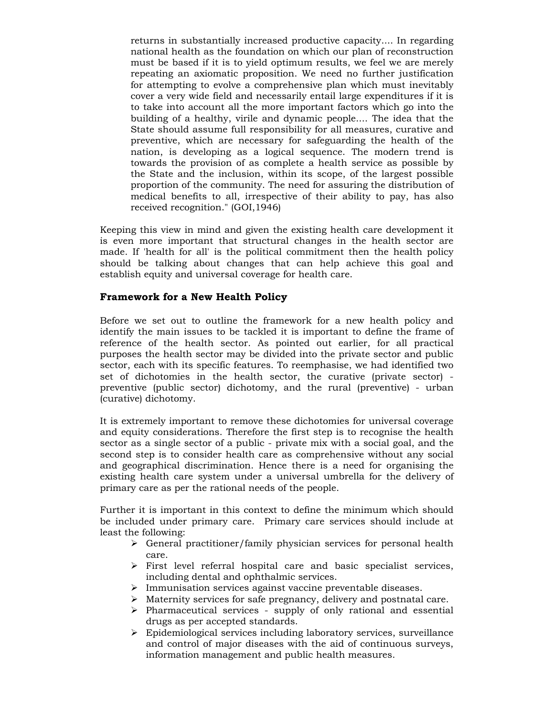returns in substantially increased productive capacity.... In regarding national health as the foundation on which our plan of reconstruction must be based if it is to yield optimum results, we feel we are merely repeating an axiomatic proposition. We need no further justification for attempting to evolve a comprehensive plan which must inevitably cover a very wide field and necessarily entail large expenditures if it is to take into account all the more important factors which go into the building of a healthy, virile and dynamic people.... The idea that the State should assume full responsibility for all measures, curative and preventive, which are necessary for safeguarding the health of the nation, is developing as a logical sequence. The modern trend is towards the provision of as complete a health service as possible by the State and the inclusion, within its scope, of the largest possible proportion of the community. The need for assuring the distribution of medical benefits to all, irrespective of their ability to pay, has also received recognition." (GOI,1946)

Keeping this view in mind and given the existing health care development it is even more important that structural changes in the health sector are made. If 'health for all' is the political commitment then the health policy should be talking about changes that can help achieve this goal and establish equity and universal coverage for health care.

### **Framework for a New Health Policy**

Before we set out to outline the framework for a new health policy and identify the main issues to be tackled it is important to define the frame of reference of the health sector. As pointed out earlier, for all practical purposes the health sector may be divided into the private sector and public sector, each with its specific features. To reemphasise, we had identified two set of dichotomies in the health sector, the curative (private sector) preventive (public sector) dichotomy, and the rural (preventive) - urban (curative) dichotomy.

It is extremely important to remove these dichotomies for universal coverage and equity considerations. Therefore the first step is to recognise the health sector as a single sector of a public - private mix with a social goal, and the second step is to consider health care as comprehensive without any social and geographical discrimination. Hence there is a need for organising the existing health care system under a universal umbrella for the delivery of primary care as per the rational needs of the people.

Further it is important in this context to define the minimum which should be included under primary care. Primary care services should include at least the following:

- $\triangleright$  General practitioner/family physician services for personal health care.
- $\triangleright$  First level referral hospital care and basic specialist services, including dental and ophthalmic services.
- ¾ Immunisation services against vaccine preventable diseases.
- $\triangleright$  Maternity services for safe pregnancy, delivery and postnatal care.
- $\triangleright$  Pharmaceutical services supply of only rational and essential drugs as per accepted standards.
- ¾ Epidemiological services including laboratory services, surveillance and control of major diseases with the aid of continuous surveys, information management and public health measures.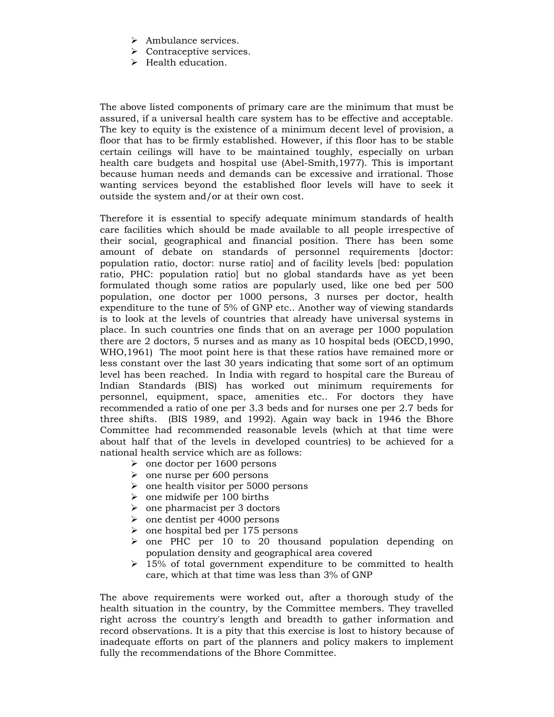- $\triangleright$  Ambulance services.
- $\triangleright$  Contraceptive services.
- $\blacktriangleright$  Health education.

The above listed components of primary care are the minimum that must be assured, if a universal health care system has to be effective and acceptable. The key to equity is the existence of a minimum decent level of provision, a floor that has to be firmly established. However, if this floor has to be stable certain ceilings will have to be maintained toughly, especially on urban health care budgets and hospital use (Abel-Smith,1977). This is important because human needs and demands can be excessive and irrational. Those wanting services beyond the established floor levels will have to seek it outside the system and/or at their own cost.

Therefore it is essential to specify adequate minimum standards of health care facilities which should be made available to all people irrespective of their social, geographical and financial position. There has been some amount of debate on standards of personnel requirements [doctor: population ratio, doctor: nurse ratio] and of facility levels [bed: population ratio, PHC: population ratio] but no global standards have as yet been formulated though some ratios are popularly used, like one bed per 500 population, one doctor per 1000 persons, 3 nurses per doctor, health expenditure to the tune of 5% of GNP etc.. Another way of viewing standards is to look at the levels of countries that already have universal systems in place. In such countries one finds that on an average per 1000 population there are 2 doctors, 5 nurses and as many as 10 hospital beds (OECD,1990, WHO,1961) The moot point here is that these ratios have remained more or less constant over the last 30 years indicating that some sort of an optimum level has been reached. In India with regard to hospital care the Bureau of Indian Standards (BIS) has worked out minimum requirements for personnel, equipment, space, amenities etc.. For doctors they have recommended a ratio of one per 3.3 beds and for nurses one per 2.7 beds for three shifts. (BIS 1989, and 1992). Again way back in 1946 the Bhore Committee had recommended reasonable levels (which at that time were about half that of the levels in developed countries) to be achieved for a national health service which are as follows:

- $\geq$  one doctor per 1600 persons
- $\geq$  one nurse per 600 persons
- $\geq$  one health visitor per 5000 persons
- $\geq$  one midwife per 100 births
- $\geq$  one pharmacist per 3 doctors
- $\geq$  one dentist per 4000 persons
- $\geq$  one hospital bed per 175 persons
- $\ge$  one PHC per 10 to 20 thousand population depending on population density and geographical area covered
- $\geq$  15% of total government expenditure to be committed to health care, which at that time was less than 3% of GNP

The above requirements were worked out, after a thorough study of the health situation in the country, by the Committee members. They travelled right across the country's length and breadth to gather information and record observations. It is a pity that this exercise is lost to history because of inadequate efforts on part of the planners and policy makers to implement fully the recommendations of the Bhore Committee.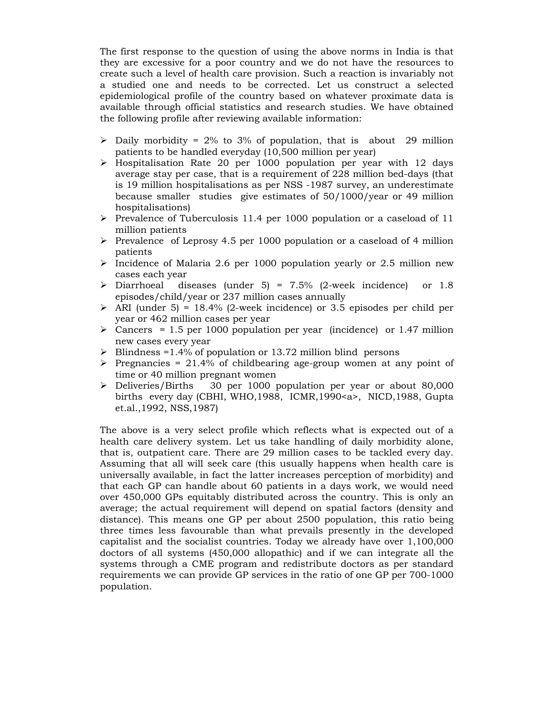The first response to the question of using the above norms in India is that they are excessive for a poor country and we do not have the resources to create such a level of health care provision. Such a reaction is invariably not a studied one and needs to be corrected. Let us construct a selected epidemiological profile of the country based on whatever proximate data is available through official statistics and research studies. We have obtained the following profile after reviewing available information:

- $\triangleright$  Daily morbidity = 2% to 3% of population, that is about 29 million patients to be handled everyday (10,500 million per year)
- $\geq$  Hospitalisation Rate 20 per 1000 population per year with 12 days average stay per case, that is a requirement of 228 million bed-days (that is 19 million hospitalisations as per NSS -1987 survey, an underestimate because smaller studies give estimates of 50/1000/year or 49 million hospitalisations)
- ¾ Prevalence of Tuberculosis 11.4 per 1000 population or a caseload of 11 million patients
- $\triangleright$  Prevalence of Leprosy 4.5 per 1000 population or a caseload of 4 million patients
- $\triangleright$  Incidence of Malaria 2.6 per 1000 population yearly or 2.5 million new cases each year
- $\triangleright$  Diarrhoeal diseases (under 5) = 7.5% (2-week incidence) or 1.8 episodes/child/year or 237 million cases annually
- $\triangleright$  ARI (under 5) = 18.4% (2-week incidence) or 3.5 episodes per child per year or 462 million cases per year
- $\geq$  Cancers = 1.5 per 1000 population per year (incidence) or 1.47 million new cases every year
- $\triangleright$  Blindness =1.4% of population or 13.72 million blind persons
- $\triangleright$  Pregnancies = 21.4% of childbearing age-group women at any point of time or 40 million pregnant women
- ¾ Deliveries/Births 30 per 1000 population per year or about 80,000 births every day (CBHI, WHO,1988, ICMR,1990<a>, NICD,1988, Gupta et.al.,1992, NSS,1987)

The above is a very select profile which reflects what is expected out of a health care delivery system. Let us take handling of daily morbidity alone, that is, outpatient care. There are 29 million cases to be tackled every day. Assuming that all will seek care (this usually happens when health care is universally available, in fact the latter increases perception of morbidity) and that each GP can handle about 60 patients in a days work, we would need over 450,000 GPs equitably distributed across the country. This is only an average; the actual requirement will depend on spatial factors (density and distance). This means one GP per about 2500 population, this ratio being three times less favourable than what prevails presently in the developed capitalist and the socialist countries. Today we already have over 1,100,000 doctors of all systems (450,000 allopathic) and if we can integrate all the systems through a CME program and redistribute doctors as per standard requirements we can provide GP services in the ratio of one GP per 700-1000 population.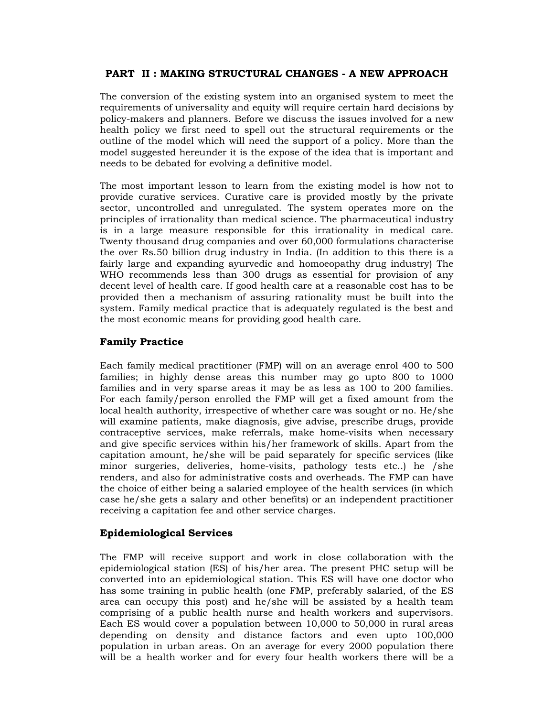# **PART II : MAKING STRUCTURAL CHANGES - A NEW APPROACH**

The conversion of the existing system into an organised system to meet the requirements of universality and equity will require certain hard decisions by policy-makers and planners. Before we discuss the issues involved for a new health policy we first need to spell out the structural requirements or the outline of the model which will need the support of a policy. More than the model suggested hereunder it is the expose of the idea that is important and needs to be debated for evolving a definitive model.

The most important lesson to learn from the existing model is how not to provide curative services. Curative care is provided mostly by the private sector, uncontrolled and unregulated. The system operates more on the principles of irrationality than medical science. The pharmaceutical industry is in a large measure responsible for this irrationality in medical care. Twenty thousand drug companies and over 60,000 formulations characterise the over Rs.50 billion drug industry in India. (In addition to this there is a fairly large and expanding ayurvedic and homoeopathy drug industry) The WHO recommends less than 300 drugs as essential for provision of any decent level of health care. If good health care at a reasonable cost has to be provided then a mechanism of assuring rationality must be built into the system. Family medical practice that is adequately regulated is the best and the most economic means for providing good health care.

### **Family Practice**

Each family medical practitioner (FMP) will on an average enrol 400 to 500 families; in highly dense areas this number may go upto 800 to 1000 families and in very sparse areas it may be as less as 100 to 200 families. For each family/person enrolled the FMP will get a fixed amount from the local health authority, irrespective of whether care was sought or no. He/she will examine patients, make diagnosis, give advise, prescribe drugs, provide contraceptive services, make referrals, make home-visits when necessary and give specific services within his/her framework of skills. Apart from the capitation amount, he/she will be paid separately for specific services (like minor surgeries, deliveries, home-visits, pathology tests etc..) he /she renders, and also for administrative costs and overheads. The FMP can have the choice of either being a salaried employee of the health services (in which case he/she gets a salary and other benefits) or an independent practitioner receiving a capitation fee and other service charges.

### **Epidemiological Services**

The FMP will receive support and work in close collaboration with the epidemiological station (ES) of his/her area. The present PHC setup will be converted into an epidemiological station. This ES will have one doctor who has some training in public health (one FMP, preferably salaried, of the ES area can occupy this post) and he/she will be assisted by a health team comprising of a public health nurse and health workers and supervisors. Each ES would cover a population between 10,000 to 50,000 in rural areas depending on density and distance factors and even upto 100,000 population in urban areas. On an average for every 2000 population there will be a health worker and for every four health workers there will be a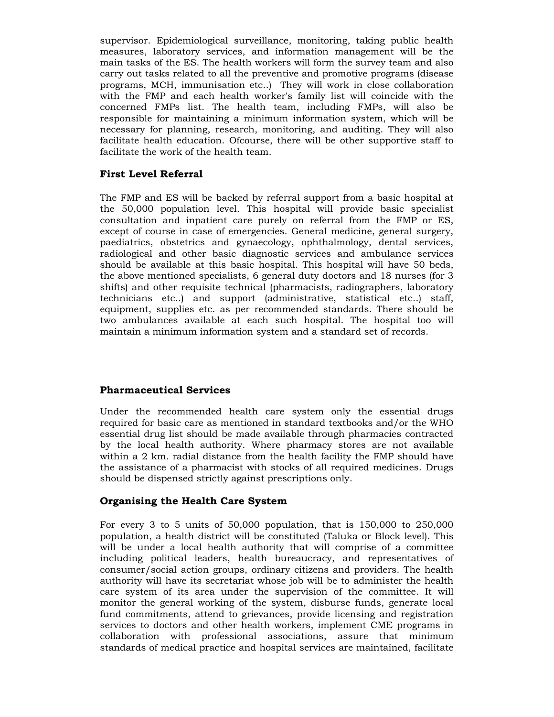supervisor. Epidemiological surveillance, monitoring, taking public health measures, laboratory services, and information management will be the main tasks of the ES. The health workers will form the survey team and also carry out tasks related to all the preventive and promotive programs (disease programs, MCH, immunisation etc..) They will work in close collaboration with the FMP and each health worker's family list will coincide with the concerned FMPs list. The health team, including FMPs, will also be responsible for maintaining a minimum information system, which will be necessary for planning, research, monitoring, and auditing. They will also facilitate health education. Ofcourse, there will be other supportive staff to facilitate the work of the health team.

# **First Level Referral**

The FMP and ES will be backed by referral support from a basic hospital at the 50,000 population level. This hospital will provide basic specialist consultation and inpatient care purely on referral from the FMP or ES, except of course in case of emergencies. General medicine, general surgery, paediatrics, obstetrics and gynaecology, ophthalmology, dental services, radiological and other basic diagnostic services and ambulance services should be available at this basic hospital. This hospital will have 50 beds, the above mentioned specialists, 6 general duty doctors and 18 nurses (for 3 shifts) and other requisite technical (pharmacists, radiographers, laboratory technicians etc..) and support (administrative, statistical etc..) staff, equipment, supplies etc. as per recommended standards. There should be two ambulances available at each such hospital. The hospital too will maintain a minimum information system and a standard set of records.

### **Pharmaceutical Services**

Under the recommended health care system only the essential drugs required for basic care as mentioned in standard textbooks and/or the WHO essential drug list should be made available through pharmacies contracted by the local health authority. Where pharmacy stores are not available within a 2 km. radial distance from the health facility the FMP should have the assistance of a pharmacist with stocks of all required medicines. Drugs should be dispensed strictly against prescriptions only.

### **Organising the Health Care System**

For every 3 to 5 units of 50,000 population, that is 150,000 to 250,000 population, a health district will be constituted (Taluka or Block level). This will be under a local health authority that will comprise of a committee including political leaders, health bureaucracy, and representatives of consumer/social action groups, ordinary citizens and providers. The health authority will have its secretariat whose job will be to administer the health care system of its area under the supervision of the committee. It will monitor the general working of the system, disburse funds, generate local fund commitments, attend to grievances, provide licensing and registration services to doctors and other health workers, implement CME programs in collaboration with professional associations, assure that minimum standards of medical practice and hospital services are maintained, facilitate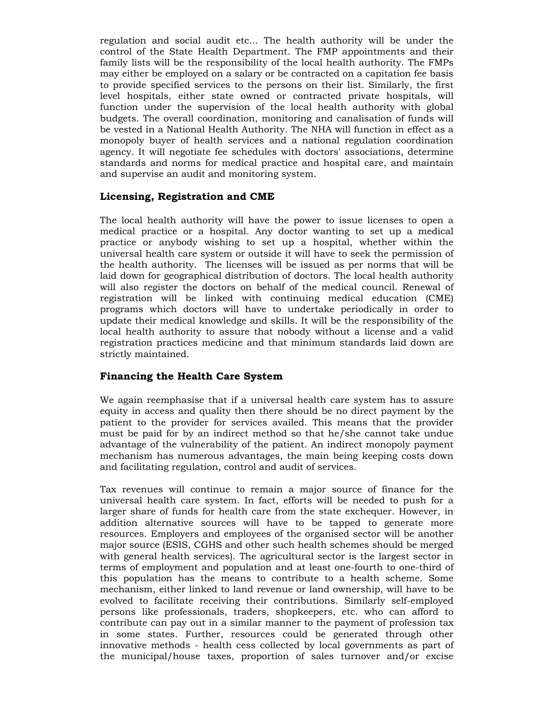regulation and social audit etc... The health authority will be under the control of the State Health Department. The FMP appointments and their family lists will be the responsibility of the local health authority. The FMPs may either be employed on a salary or be contracted on a capitation fee basis to provide specified services to the persons on their list. Similarly, the first level hospitals, either state owned or contracted private hospitals, will function under the supervision of the local health authority with global budgets. The overall coordination, monitoring and canalisation of funds will be vested in a National Health Authority. The NHA will function in effect as a monopoly buyer of health services and a national regulation coordination agency. It will negotiate fee schedules with doctors' associations, determine standards and norms for medical practice and hospital care, and maintain and supervise an audit and monitoring system.

## **Licensing, Registration and CME**

The local health authority will have the power to issue licenses to open a medical practice or a hospital. Any doctor wanting to set up a medical practice or anybody wishing to set up a hospital, whether within the universal health care system or outside it will have to seek the permission of the health authority. The licenses will be issued as per norms that will be laid down for geographical distribution of doctors. The local health authority will also register the doctors on behalf of the medical council. Renewal of registration will be linked with continuing medical education (CME) programs which doctors will have to undertake periodically in order to update their medical knowledge and skills. It will be the responsibility of the local health authority to assure that nobody without a license and a valid registration practices medicine and that minimum standards laid down are strictly maintained.

# **Financing the Health Care System**

We again reemphasise that if a universal health care system has to assure equity in access and quality then there should be no direct payment by the patient to the provider for services availed. This means that the provider must be paid for by an indirect method so that he/she cannot take undue advantage of the vulnerability of the patient. An indirect monopoly payment mechanism has numerous advantages, the main being keeping costs down and facilitating regulation, control and audit of services.

Tax revenues will continue to remain a major source of finance for the universal health care system. In fact, efforts will be needed to push for a larger share of funds for health care from the state exchequer. However, in addition alternative sources will have to be tapped to generate more resources. Employers and employees of the organised sector will be another major source (ESIS, CGHS and other such health schemes should be merged with general health services). The agricultural sector is the largest sector in terms of employment and population and at least one-fourth to one-third of this population has the means to contribute to a health scheme. Some mechanism, either linked to land revenue or land ownership, will have to be evolved to facilitate receiving their contributions. Similarly self-employed persons like professionals, traders, shopkeepers, etc. who can afford to contribute can pay out in a similar manner to the payment of profession tax in some states. Further, resources could be generated through other innovative methods - health cess collected by local governments as part of the municipal/house taxes, proportion of sales turnover and/or excise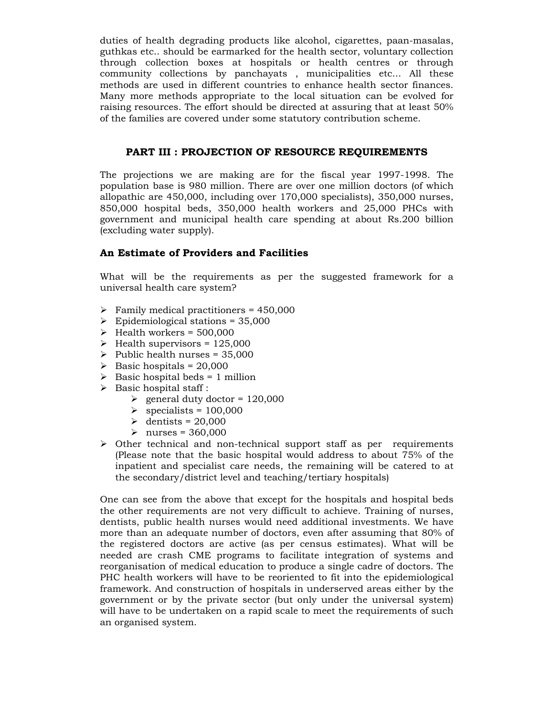duties of health degrading products like alcohol, cigarettes, paan-masalas, guthkas etc.. should be earmarked for the health sector, voluntary collection through collection boxes at hospitals or health centres or through community collections by panchayats , municipalities etc... All these methods are used in different countries to enhance health sector finances. Many more methods appropriate to the local situation can be evolved for raising resources. The effort should be directed at assuring that at least 50% of the families are covered under some statutory contribution scheme.

## **PART III : PROJECTION OF RESOURCE REQUIREMENTS**

The projections we are making are for the fiscal year 1997-1998. The population base is 980 million. There are over one million doctors (of which allopathic are 450,000, including over 170,000 specialists), 350,000 nurses, 850,000 hospital beds, 350,000 health workers and 25,000 PHCs with government and municipal health care spending at about Rs.200 billion (excluding water supply).

# **An Estimate of Providers and Facilities**

What will be the requirements as per the suggested framework for a universal health care system?

- $\triangleright$  Family medical practitioners = 450,000
- $\triangleright$  Epidemiological stations = 35,000
- $\blacktriangleright$  Health workers = 500,000
- $\blacktriangleright$  Health supervisors = 125,000
- $\blacktriangleright$  Public health nurses = 35,000
- $\blacktriangleright$  Basic hospitals = 20,000
- $\triangleright$  Basic hospital beds = 1 million
- $\triangleright$  Basic hospital staff :
	- $\ge$  general duty doctor = 120,000
	- $\ge$  specialists = 100,000
	- $\geq$  dentists = 20,000
	- $\geq$  nurses = 360,000
- $\triangleright$  Other technical and non-technical support staff as per requirements (Please note that the basic hospital would address to about 75% of the inpatient and specialist care needs, the remaining will be catered to at the secondary/district level and teaching/tertiary hospitals)

One can see from the above that except for the hospitals and hospital beds the other requirements are not very difficult to achieve. Training of nurses, dentists, public health nurses would need additional investments. We have more than an adequate number of doctors, even after assuming that 80% of the registered doctors are active (as per census estimates). What will be needed are crash CME programs to facilitate integration of systems and reorganisation of medical education to produce a single cadre of doctors. The PHC health workers will have to be reoriented to fit into the epidemiological framework. And construction of hospitals in underserved areas either by the government or by the private sector (but only under the universal system) will have to be undertaken on a rapid scale to meet the requirements of such an organised system.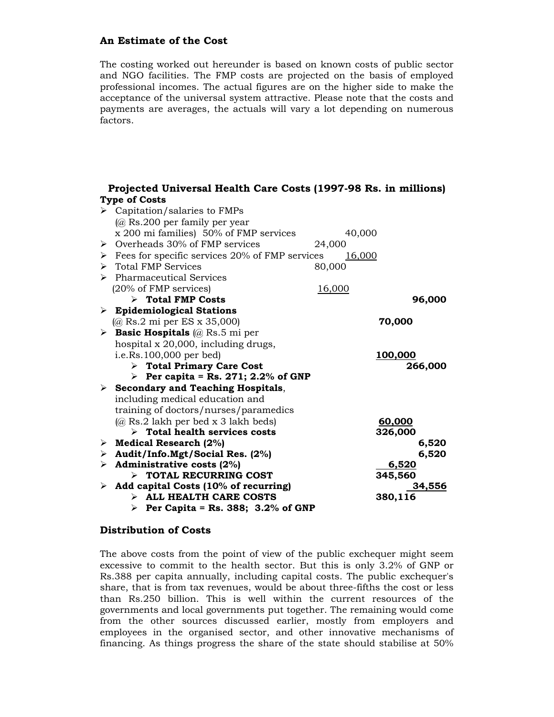# **An Estimate of the Cost**

The costing worked out hereunder is based on known costs of public sector and NGO facilities. The FMP costs are projected on the basis of employed professional incomes. The actual figures are on the higher side to make the acceptance of the universal system attractive. Please note that the costs and payments are averages, the actuals will vary a lot depending on numerous factors.

# **Projected Universal Health Care Costs (1997-98 Rs. in millions) Type of Costs**

|   | $\triangleright$ Capitation/salaries to FMPs       |               |         |
|---|----------------------------------------------------|---------------|---------|
|   | $(a)$ Rs.200 per family per year                   |               |         |
|   | x 200 mi families) 50% of FMP services             | 40,000        |         |
| ≻ | Overheads 30% of FMP services                      | 24,000        |         |
| ≻ | Fees for specific services 20% of FMP services     | <u>16,000</u> |         |
|   | $\triangleright$ Total FMP Services                | 80,000        |         |
|   | $\triangleright$ Pharmaceutical Services           |               |         |
|   | (20% of FMP services)                              | <u>16,000</u> |         |
|   | $\triangleright$ Total FMP Costs                   |               | 96,000  |
|   | $\triangleright$ Epidemiological Stations          |               |         |
|   | $(Q)$ Rs.2 mi per ES x 35,000)                     |               | 70,000  |
|   | <b>Easic Hospitals</b> ( $\hat{a}$ Rs.5 mi per     |               |         |
|   | hospital x 20,000, including drugs,                |               |         |
|   | i.e.Rs.100,000 per bed)                            |               | 100,000 |
|   | $\triangleright$ Total Primary Care Cost           |               | 266,000 |
|   | Per capita = Rs. 271; 2.2% of GNP                  |               |         |
|   | $\triangleright$ Secondary and Teaching Hospitals, |               |         |
|   | including medical education and                    |               |         |
|   | training of doctors/nurses/paramedics              |               |         |
|   | (@ Rs.2 lakh per bed x 3 lakh beds)                |               | 60,000  |
|   | $\triangleright$ Total health services costs       |               | 326,000 |
| ≻ | <b>Medical Research (2%)</b>                       |               | 6,520   |
| ≻ | Audit/Info.Mgt/Social Res. (2%)                    |               | 6,520   |
| ➤ | Administrative costs (2%)                          |               | 6,520   |
|   | $\triangleright$ TOTAL RECURRING COST              |               | 345,560 |
| ➤ | Add capital Costs (10% of recurring)               |               | 34,556  |
|   | $\triangleright$ ALL HEALTH CARE COSTS             |               | 380,116 |
|   | Per Capita = Rs. 388; 3.2% of GNP                  |               |         |

### **Distribution of Costs**

The above costs from the point of view of the public exchequer might seem excessive to commit to the health sector. But this is only 3.2% of GNP or Rs.388 per capita annually, including capital costs. The public exchequer's share, that is from tax revenues, would be about three-fifths the cost or less than Rs.250 billion. This is well within the current resources of the governments and local governments put together. The remaining would come from the other sources discussed earlier, mostly from employers and employees in the organised sector, and other innovative mechanisms of financing. As things progress the share of the state should stabilise at 50%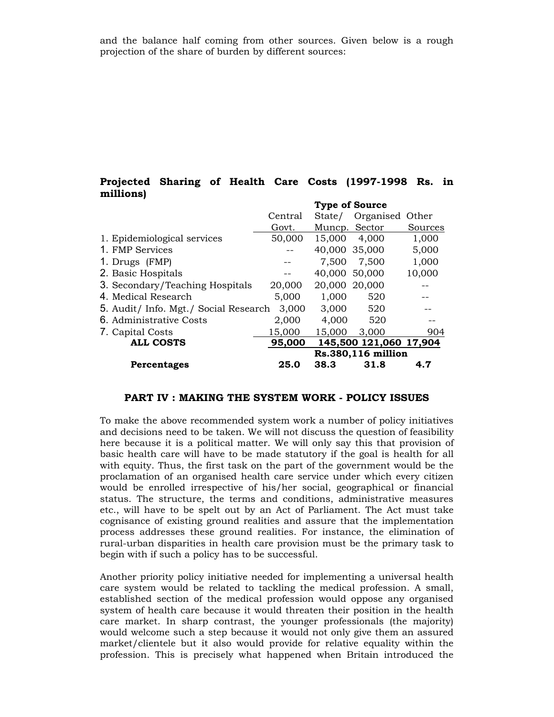and the balance half coming from other sources. Given below is a rough projection of the share of burden by different sources:

## **Projected Sharing of Health Care Costs (1997-1998 Rs. in millions)**

|                                       |                    |               | <b>Type of Source</b>  |         |
|---------------------------------------|--------------------|---------------|------------------------|---------|
|                                       | Central            | State/        | Organised Other        |         |
|                                       | Govt.              | Muncp. Sector |                        | Sources |
| 1. Epidemiological services           | 50,000             | 15,000        | 4,000                  | 1,000   |
| 1. FMP Services                       |                    | 40,000 35,000 |                        | 5,000   |
| 1. Drugs (FMP)                        |                    | 7,500         | 7,500                  | 1,000   |
| 2. Basic Hospitals                    |                    | 40,000 50,000 |                        | 10,000  |
| 3. Secondary/Teaching Hospitals       | 20,000             | 20,000 20,000 |                        |         |
| 4. Medical Research                   | 5,000              | 1,000         | 520                    |         |
| 5. Audit/ Info. Mgt./ Social Research | 3,000              | 3,000         | 520                    |         |
| 6. Administrative Costs               | 2,000              | 4,000         | 520                    |         |
| 7. Capital Costs                      | 15,000             | 15,000        | 3,000                  | 904     |
| <b>ALL COSTS</b>                      | 95,000             |               | 145,500 121,060 17,904 |         |
|                                       | Rs.380,116 million |               |                        |         |
| Percentages                           | 25.0               | 38.3          | 31.8                   | 4.7     |

#### **PART IV : MAKING THE SYSTEM WORK - POLICY ISSUES**

To make the above recommended system work a number of policy initiatives and decisions need to be taken. We will not discuss the question of feasibility here because it is a political matter. We will only say this that provision of basic health care will have to be made statutory if the goal is health for all with equity. Thus, the first task on the part of the government would be the proclamation of an organised health care service under which every citizen would be enrolled irrespective of his/her social, geographical or financial status. The structure, the terms and conditions, administrative measures etc., will have to be spelt out by an Act of Parliament. The Act must take cognisance of existing ground realities and assure that the implementation process addresses these ground realities. For instance, the elimination of rural-urban disparities in health care provision must be the primary task to begin with if such a policy has to be successful.

Another priority policy initiative needed for implementing a universal health care system would be related to tackling the medical profession. A small, established section of the medical profession would oppose any organised system of health care because it would threaten their position in the health care market. In sharp contrast, the younger professionals (the majority) would welcome such a step because it would not only give them an assured market/clientele but it also would provide for relative equality within the profession. This is precisely what happened when Britain introduced the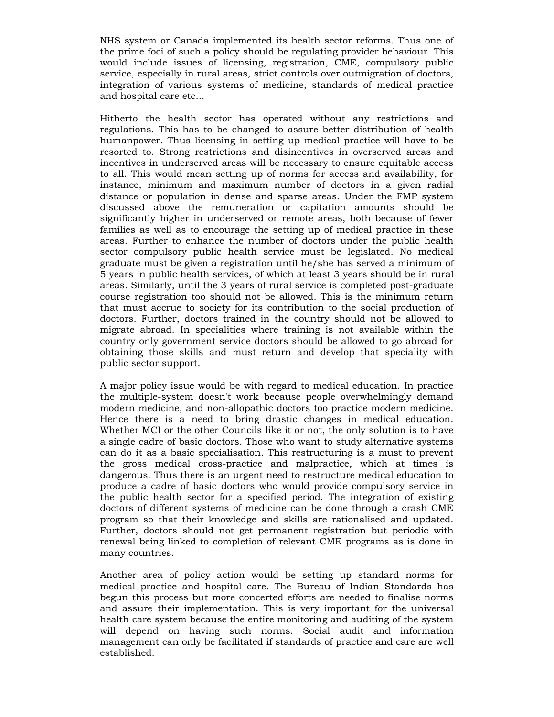NHS system or Canada implemented its health sector reforms. Thus one of the prime foci of such a policy should be regulating provider behaviour. This would include issues of licensing, registration, CME, compulsory public service, especially in rural areas, strict controls over outmigration of doctors, integration of various systems of medicine, standards of medical practice and hospital care etc...

Hitherto the health sector has operated without any restrictions and regulations. This has to be changed to assure better distribution of health humanpower. Thus licensing in setting up medical practice will have to be resorted to. Strong restrictions and disincentives in overserved areas and incentives in underserved areas will be necessary to ensure equitable access to all. This would mean setting up of norms for access and availability, for instance, minimum and maximum number of doctors in a given radial distance or population in dense and sparse areas. Under the FMP system discussed above the remuneration or capitation amounts should be significantly higher in underserved or remote areas, both because of fewer families as well as to encourage the setting up of medical practice in these areas. Further to enhance the number of doctors under the public health sector compulsory public health service must be legislated. No medical graduate must be given a registration until he/she has served a minimum of 5 years in public health services, of which at least 3 years should be in rural areas. Similarly, until the 3 years of rural service is completed post-graduate course registration too should not be allowed. This is the minimum return that must accrue to society for its contribution to the social production of doctors. Further, doctors trained in the country should not be allowed to migrate abroad. In specialities where training is not available within the country only government service doctors should be allowed to go abroad for obtaining those skills and must return and develop that speciality with public sector support.

A major policy issue would be with regard to medical education. In practice the multiple-system doesn't work because people overwhelmingly demand modern medicine, and non-allopathic doctors too practice modern medicine. Hence there is a need to bring drastic changes in medical education. Whether MCI or the other Councils like it or not, the only solution is to have a single cadre of basic doctors. Those who want to study alternative systems can do it as a basic specialisation. This restructuring is a must to prevent the gross medical cross-practice and malpractice, which at times is dangerous. Thus there is an urgent need to restructure medical education to produce a cadre of basic doctors who would provide compulsory service in the public health sector for a specified period. The integration of existing doctors of different systems of medicine can be done through a crash CME program so that their knowledge and skills are rationalised and updated. Further, doctors should not get permanent registration but periodic with renewal being linked to completion of relevant CME programs as is done in many countries.

Another area of policy action would be setting up standard norms for medical practice and hospital care. The Bureau of Indian Standards has begun this process but more concerted efforts are needed to finalise norms and assure their implementation. This is very important for the universal health care system because the entire monitoring and auditing of the system will depend on having such norms. Social audit and information management can only be facilitated if standards of practice and care are well established.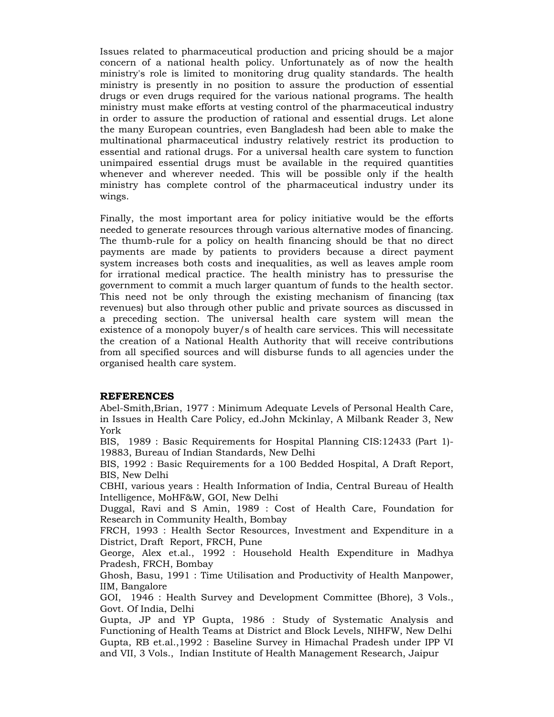Issues related to pharmaceutical production and pricing should be a major concern of a national health policy. Unfortunately as of now the health ministry's role is limited to monitoring drug quality standards. The health ministry is presently in no position to assure the production of essential drugs or even drugs required for the various national programs. The health ministry must make efforts at vesting control of the pharmaceutical industry in order to assure the production of rational and essential drugs. Let alone the many European countries, even Bangladesh had been able to make the multinational pharmaceutical industry relatively restrict its production to essential and rational drugs. For a universal health care system to function unimpaired essential drugs must be available in the required quantities whenever and wherever needed. This will be possible only if the health ministry has complete control of the pharmaceutical industry under its wings.

Finally, the most important area for policy initiative would be the efforts needed to generate resources through various alternative modes of financing. The thumb-rule for a policy on health financing should be that no direct payments are made by patients to providers because a direct payment system increases both costs and inequalities, as well as leaves ample room for irrational medical practice. The health ministry has to pressurise the government to commit a much larger quantum of funds to the health sector. This need not be only through the existing mechanism of financing (tax revenues) but also through other public and private sources as discussed in a preceding section. The universal health care system will mean the existence of a monopoly buyer/s of health care services. This will necessitate the creation of a National Health Authority that will receive contributions from all specified sources and will disburse funds to all agencies under the organised health care system.

### **REFERENCES**

Abel-Smith,Brian, 1977 : Minimum Adequate Levels of Personal Health Care, in Issues in Health Care Policy, ed.John Mckinlay, A Milbank Reader 3, New York

BIS, 1989 : Basic Requirements for Hospital Planning CIS:12433 (Part 1)- 19883, Bureau of Indian Standards, New Delhi

BIS, 1992 : Basic Requirements for a 100 Bedded Hospital, A Draft Report, BIS, New Delhi

CBHI, various years : Health Information of India, Central Bureau of Health Intelligence, MoHF&W, GOI, New Delhi

Duggal, Ravi and S Amin, 1989 : Cost of Health Care, Foundation for Research in Community Health, Bombay

FRCH, 1993 : Health Sector Resources, Investment and Expenditure in a District, Draft Report, FRCH, Pune

George, Alex et.al., 1992 : Household Health Expenditure in Madhya Pradesh, FRCH, Bombay

Ghosh, Basu, 1991 : Time Utilisation and Productivity of Health Manpower, IIM, Bangalore

GOI, 1946 : Health Survey and Development Committee (Bhore), 3 Vols., Govt. Of India, Delhi

Gupta, JP and YP Gupta, 1986 : Study of Systematic Analysis and Functioning of Health Teams at District and Block Levels, NIHFW, New Delhi Gupta, RB et.al.,1992 : Baseline Survey in Himachal Pradesh under IPP VI and VII, 3 Vols., Indian Institute of Health Management Research, Jaipur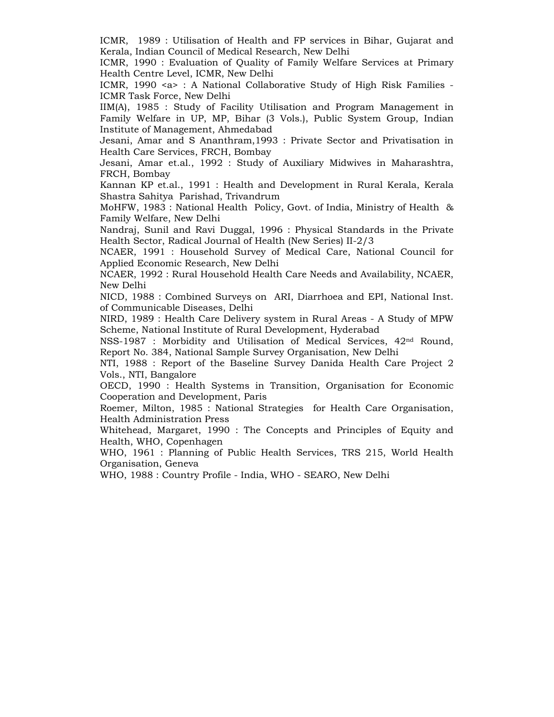ICMR, 1989 : Utilisation of Health and FP services in Bihar, Gujarat and Kerala, Indian Council of Medical Research, New Delhi

ICMR, 1990 : Evaluation of Quality of Family Welfare Services at Primary Health Centre Level, ICMR, New Delhi

ICMR, 1990 <a> : A National Collaborative Study of High Risk Families - ICMR Task Force, New Delhi

IIM(A), 1985 : Study of Facility Utilisation and Program Management in Family Welfare in UP, MP, Bihar (3 Vols.), Public System Group, Indian Institute of Management, Ahmedabad

Jesani, Amar and S Ananthram,1993 : Private Sector and Privatisation in Health Care Services, FRCH, Bombay

Jesani, Amar et.al., 1992 : Study of Auxiliary Midwives in Maharashtra, FRCH, Bombay

Kannan KP et.al., 1991 : Health and Development in Rural Kerala, Kerala Shastra Sahitya Parishad, Trivandrum

MoHFW, 1983 : National Health Policy, Govt. of India, Ministry of Health & Family Welfare, New Delhi

Nandraj, Sunil and Ravi Duggal, 1996 : Physical Standards in the Private Health Sector, Radical Journal of Health (New Series) II-2/3

NCAER, 1991 : Household Survey of Medical Care, National Council for Applied Economic Research, New Delhi

NCAER, 1992 : Rural Household Health Care Needs and Availability, NCAER, New Delhi

NICD, 1988 : Combined Surveys on ARI, Diarrhoea and EPI, National Inst. of Communicable Diseases, Delhi

NIRD, 1989 : Health Care Delivery system in Rural Areas - A Study of MPW Scheme, National Institute of Rural Development, Hyderabad

NSS-1987 : Morbidity and Utilisation of Medical Services, 42nd Round, Report No. 384, National Sample Survey Organisation, New Delhi

NTI, 1988 : Report of the Baseline Survey Danida Health Care Project 2 Vols., NTI, Bangalore

OECD, 1990 : Health Systems in Transition, Organisation for Economic Cooperation and Development, Paris

Roemer, Milton, 1985 : National Strategies for Health Care Organisation, Health Administration Press

Whitehead, Margaret, 1990 : The Concepts and Principles of Equity and Health, WHO, Copenhagen

WHO, 1961 : Planning of Public Health Services, TRS 215, World Health Organisation, Geneva

WHO, 1988 : Country Profile - India, WHO - SEARO, New Delhi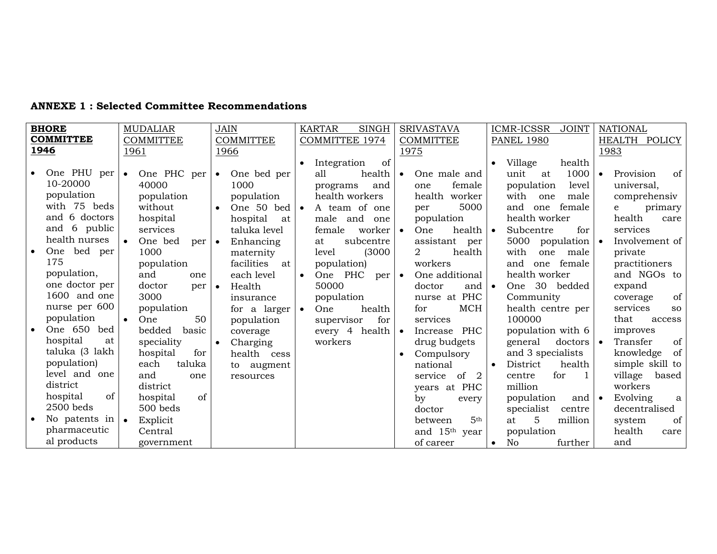| <b>ANNEXE 1: Selected Committee Recommendations</b> |  |  |
|-----------------------------------------------------|--|--|
|-----------------------------------------------------|--|--|

| <b>BHORE</b>     |                | <b>MUDALIAR</b>          |        | <b>JAIN</b>      |                  |                       | <b>KARTAR</b>  | <b>SINGH</b>     |           | <b>SRIVASTAVA</b>          |           | <b>ICMR-ICSSR</b><br><b>JOINT</b>        |               |           | <b>NATIONAL</b> |               |
|------------------|----------------|--------------------------|--------|------------------|------------------|-----------------------|----------------|------------------|-----------|----------------------------|-----------|------------------------------------------|---------------|-----------|-----------------|---------------|
| <b>COMMITTEE</b> |                | <b>COMMITTEE</b>         |        | <b>COMMITTEE</b> |                  | <b>COMMITTEE 1974</b> |                | <b>COMMITTEE</b> |           | <b>PANEL 1980</b>          |           |                                          | HEALTH POLICY |           |                 |               |
| 1946             |                | 1961                     |        | 1966             |                  |                       |                |                  | 1975      |                            |           |                                          |               | 1983      |                 |               |
|                  |                |                          |        |                  |                  |                       | Integration    | of               |           |                            | $\bullet$ | Village                                  | health        |           |                 |               |
|                  | One PHU per    | One PHC per<br>$\bullet$ |        | $\bullet$        | One bed per      |                       | all            | health           | $\bullet$ | One male and               |           | unit<br>at                               | 1000          | $\bullet$ | Provision       | of            |
|                  | 10-20000       | 40000                    |        |                  | 1000             |                       | programs       | and              |           | female<br>one              |           | population                               | level         |           | universal,      |               |
|                  | population     | population               |        |                  | population       |                       | health workers |                  |           | health worker              |           | with<br>one                              | male          |           | comprehensiv    |               |
|                  | with 75 beds   | without                  |        | $\bullet$        | One 50 bed       | $\bullet$             | A team of one  |                  |           | 5000<br>per                |           | and<br>female<br>one                     |               |           | e               | primary       |
|                  | and 6 doctors  | hospital                 |        |                  | hospital<br>at   |                       | male and       | one              |           | population                 |           | health worker                            |               |           | health          | care          |
|                  | and 6 public   | services                 |        |                  | taluka level     |                       | female         | worker           | $\bullet$ | One<br>health $\bullet$    |           | Subcentre                                | for           |           | services        |               |
|                  | health nurses  | One bed                  | per    | $\bullet$        | Enhancing        |                       | at             | subcentre        |           | assistant per              |           | 5000<br>population $\vert \bullet \vert$ |               |           | Involvement of  |               |
|                  | One bed per    | 1000                     |        |                  | maternity        |                       | level          | (3000)           |           | $\overline{2}$<br>health   |           | with<br>one                              | male          |           | private         |               |
|                  | 175            | population               |        |                  | facilities<br>at |                       | population)    |                  |           | workers                    |           | one female<br>and                        |               |           | practitioners   |               |
|                  | population,    | and                      | one    |                  | each level       | $\bullet$             | One PHC per    |                  | $\bullet$ | One additional             |           | health worker                            |               |           | and NGOs to     |               |
|                  | one doctor per | doctor                   | per    | $\bullet$        | Health           |                       | 50000          |                  |           | doctor<br>and $\bullet$    |           | One 30 bedded                            |               |           | expand          |               |
|                  | 1600 and one   | 3000                     |        |                  | insurance        |                       | population     |                  |           | nurse at PHC               |           | Community                                |               |           | coverage        | of            |
|                  | nurse per 600  | population               |        |                  | for a larger     | $\bullet$             | One            | health           |           | MCH<br>for                 |           | health centre per                        |               |           | services        | <sub>SO</sub> |
|                  | population     | One                      | 50     |                  | population       |                       | supervisor     | for              |           | services                   |           | 100000                                   |               |           | that            | access        |
|                  | One 650 bed    | bedded                   | basic  |                  | coverage         |                       | every 4 health |                  | $\bullet$ | Increase PHC               |           | population with 6                        |               |           | improves        |               |
|                  | hospital<br>at | speciality               |        | $\bullet$        | Charging         |                       | workers        |                  |           | drug budgets               |           | general                                  | doctors       |           | Transfer        | of            |
|                  | taluka (3 lakh | hospital                 | for    |                  | health cess      |                       |                |                  | $\bullet$ | Compulsory                 |           | and 3 specialists                        |               |           | knowledge       | of            |
|                  | population)    | each                     | taluka |                  | to augment       |                       |                |                  |           | national                   | $\bullet$ | District                                 | health        |           | simple skill to |               |
|                  | level and one  | and                      | one    |                  | resources        |                       |                |                  |           | service of 2               |           | for<br>centre                            |               |           | village         | based         |
|                  | district       | district                 |        |                  |                  |                       |                |                  |           | years at PHC               |           | million                                  |               |           | workers         |               |
|                  | hospital<br>of | hospital                 | of     |                  |                  |                       |                |                  |           | by<br>every                |           | population                               | and $\bullet$ |           | Evolving        | a             |
|                  | $2500$ beds    | 500 beds                 |        |                  |                  |                       |                |                  |           | doctor                     |           | specialist                               | centre        |           | decentralised   |               |
|                  | No patents in  | Explicit<br>$\bullet$    |        |                  |                  |                       |                |                  |           | 5 <sup>th</sup><br>between |           | 5<br>million<br>at                       |               |           | system          | of            |
|                  | pharmaceutic   | Central                  |        |                  |                  |                       |                |                  |           | and 15 <sup>th</sup> year  |           | population                               |               |           | health          | care          |
|                  | al products    | government               |        |                  |                  |                       |                |                  |           | of career                  | $\bullet$ | further<br>No                            |               |           | and             |               |